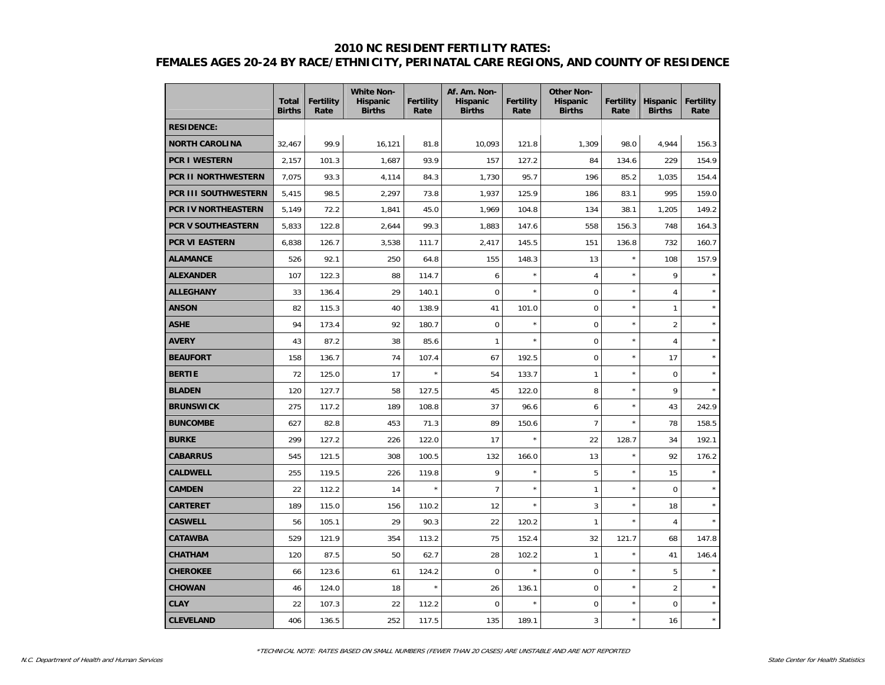#### **2010 NC RESIDENT FERTILITY RATES:**

# **FEMALES AGES 20-24 BY RACE/ETHNICITY, PERINATAL CARE REGIONS, AND COUNTY OF RESIDENCE**

|                           | <b>Total</b><br><b>Births</b> | <b>Fertility</b><br>Rate | <b>White Non-</b><br><b>Hispanic</b><br><b>Births</b> | <b>Fertility</b><br>Rate | Af. Am. Non-<br><b>Hispanic</b><br><b>Births</b> | <b>Fertility</b><br>Rate | <b>Other Non-</b><br><b>Hispanic</b><br><b>Births</b> | <b>Fertility</b><br>Rate | <b>Hispanic</b><br><b>Births</b> | <b>Fertility</b><br>Rate |
|---------------------------|-------------------------------|--------------------------|-------------------------------------------------------|--------------------------|--------------------------------------------------|--------------------------|-------------------------------------------------------|--------------------------|----------------------------------|--------------------------|
| <b>RESIDENCE:</b>         |                               |                          |                                                       |                          |                                                  |                          |                                                       |                          |                                  |                          |
| <b>NORTH CAROLINA</b>     | 32,467                        | 99.9                     | 16,121                                                | 81.8                     | 10,093                                           | 121.8                    | 1,309                                                 | 98.0                     | 4,944                            | 156.3                    |
| <b>PCR I WESTERN</b>      | 2,157                         | 101.3                    | 1,687                                                 | 93.9                     | 157                                              | 127.2                    | 84                                                    | 134.6                    | 229                              | 154.9                    |
| PCR II NORTHWESTERN       | 7,075                         | 93.3                     | 4,114                                                 | 84.3                     | 1,730                                            | 95.7                     | 196                                                   | 85.2                     | 1,035                            | 154.4                    |
| PCR III SOUTHWESTERN      | 5,415                         | 98.5                     | 2,297                                                 | 73.8                     | 1,937                                            | 125.9                    | 186                                                   | 83.1                     | 995                              | 159.0                    |
| PCR IV NORTHEASTERN       | 5,149                         | 72.2                     | 1,841                                                 | 45.0                     | 1,969                                            | 104.8                    | 134                                                   | 38.1                     | 1,205                            | 149.2                    |
| <b>PCR V SOUTHEASTERN</b> | 5,833                         | 122.8                    | 2,644                                                 | 99.3                     | 1,883                                            | 147.6                    | 558                                                   | 156.3                    | 748                              | 164.3                    |
| <b>PCR VI EASTERN</b>     | 6,838                         | 126.7                    | 3,538                                                 | 111.7                    | 2,417                                            | 145.5                    | 151                                                   | 136.8                    | 732                              | 160.7                    |
| <b>ALAMANCE</b>           | 526                           | 92.1                     | 250                                                   | 64.8                     | 155                                              | 148.3                    | 13                                                    | $\star$                  | 108                              | 157.9                    |
| <b>ALEXANDER</b>          | 107                           | 122.3                    | 88                                                    | 114.7                    | 6                                                | $\star$                  | 4                                                     | $\star$                  | 9                                | $\star$                  |
| <b>ALLEGHANY</b>          | 33                            | 136.4                    | 29                                                    | 140.1                    | $\mathbf 0$                                      | $\star$                  | $\overline{0}$                                        | $\star$                  | $\overline{4}$                   |                          |
| <b>ANSON</b>              | 82                            | 115.3                    | 40                                                    | 138.9                    | 41                                               | 101.0                    | $\mathbf 0$                                           | $\star$                  | $\mathbf{1}$                     |                          |
| <b>ASHE</b>               | 94                            | 173.4                    | 92                                                    | 180.7                    | $\overline{0}$                                   | $\star$                  | $\overline{0}$                                        | $\star$                  | $\overline{2}$                   | $\star$                  |
| <b>AVERY</b>              | 43                            | 87.2                     | 38                                                    | 85.6                     | 1                                                | $\star$                  | $\mathbf 0$                                           | $\star$                  | $\overline{4}$                   | $\star$                  |
| <b>BEAUFORT</b>           | 158                           | 136.7                    | 74                                                    | 107.4                    | 67                                               | 192.5                    | $\mathbf 0$                                           | $\star$                  | 17                               |                          |
| <b>BERTIE</b>             | 72                            | 125.0                    | 17                                                    | $\star$                  | 54                                               | 133.7                    | 1                                                     | $\star$                  | $\mathbf 0$                      |                          |
| <b>BLADEN</b>             | 120                           | 127.7                    | 58                                                    | 127.5                    | 45                                               | 122.0                    | 8                                                     | $\star$                  | 9                                |                          |
| <b>BRUNSWICK</b>          | 275                           | 117.2                    | 189                                                   | 108.8                    | 37                                               | 96.6                     | 6                                                     | $\star$                  | 43                               | 242.9                    |
| <b>BUNCOMBE</b>           | 627                           | 82.8                     | 453                                                   | 71.3                     | 89                                               | 150.6                    | $\overline{7}$                                        | $\star$                  | 78                               | 158.5                    |
| <b>BURKE</b>              | 299                           | 127.2                    | 226                                                   | 122.0                    | 17                                               |                          | 22                                                    | 128.7                    | 34                               | 192.1                    |
| <b>CABARRUS</b>           | 545                           | 121.5                    | 308                                                   | 100.5                    | 132                                              | 166.0                    | 13                                                    | $\star$                  | 92                               | 176.2                    |
| <b>CALDWELL</b>           | 255                           | 119.5                    | 226                                                   | 119.8                    | 9                                                | $\star$                  | 5                                                     | $\star$                  | 15                               |                          |
| <b>CAMDEN</b>             | 22                            | 112.2                    | 14                                                    | $\star$                  | $\overline{7}$                                   | $\star$                  | $\mathbf{1}$                                          | $\star$                  | $\mathbf 0$                      |                          |
| <b>CARTERET</b>           | 189                           | 115.0                    | 156                                                   | 110.2                    | 12                                               |                          | 3                                                     | $\star$                  | 18                               |                          |
| <b>CASWELL</b>            | 56                            | 105.1                    | 29                                                    | 90.3                     | 22                                               | 120.2                    | 1                                                     | $\star$                  | $\overline{4}$                   |                          |
| <b>CATAWBA</b>            | 529                           | 121.9                    | 354                                                   | 113.2                    | 75                                               | 152.4                    | 32                                                    | 121.7                    | 68                               | 147.8                    |
| <b>CHATHAM</b>            | 120                           | 87.5                     | 50                                                    | 62.7                     | 28                                               | 102.2                    | 1                                                     | $\star$                  | 41                               | 146.4                    |
| <b>CHEROKEE</b>           | 66                            | 123.6                    | 61                                                    | 124.2                    | $\overline{0}$                                   | $\star$                  | $\overline{0}$                                        | $\star$                  | 5                                |                          |
| <b>CHOWAN</b>             | 46                            | 124.0                    | 18                                                    | $\star$                  | 26                                               | 136.1                    | $\mathbf 0$                                           | $\star$                  | $\overline{2}$                   |                          |
| <b>CLAY</b>               | 22                            | 107.3                    | 22                                                    | 112.2                    | 0                                                | $\star$                  | $\overline{0}$                                        | $\star$                  | $\mathbf 0$                      | $\star$                  |
| <b>CLEVELAND</b>          | 406                           | 136.5                    | 252                                                   | 117.5                    | 135                                              | 189.1                    | 3                                                     | $\star$                  | 16                               | $\star$                  |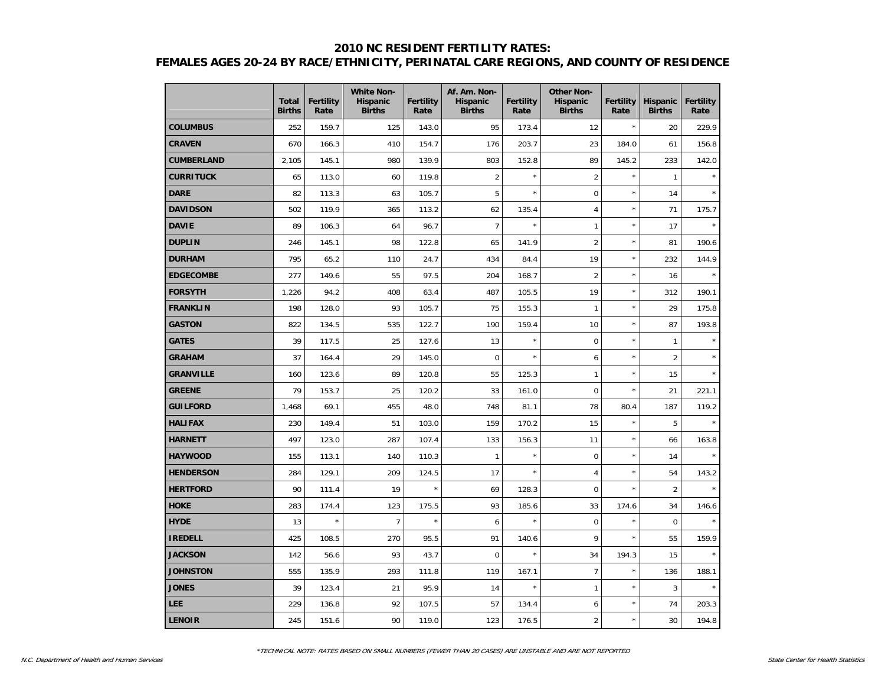## **2010 NC RESIDENT FERTILITY RATES: FEMALES AGES 20-24 BY RACE/ETHNICITY, PERINATAL CARE REGIONS, AND COUNTY OF RESIDENCE**

|                  | <b>Total</b><br><b>Births</b> | <b>Fertility</b><br>Rate | <b>White Non-</b><br><b>Hispanic</b><br><b>Births</b> | <b>Fertility</b><br>Rate | Af. Am. Non-<br><b>Hispanic</b><br><b>Births</b> | Fertility<br>Rate | <b>Other Non-</b><br><b>Hispanic</b><br><b>Births</b> | <b>Fertility</b><br>Rate | <b>Hispanic</b><br><b>Births</b> | <b>Fertility</b><br>Rate |
|------------------|-------------------------------|--------------------------|-------------------------------------------------------|--------------------------|--------------------------------------------------|-------------------|-------------------------------------------------------|--------------------------|----------------------------------|--------------------------|
| <b>COLUMBUS</b>  | 252                           | 159.7                    | 125                                                   | 143.0                    | 95                                               | 173.4             | 12                                                    | $\star$                  | 20                               | 229.9                    |
| <b>CRAVEN</b>    | 670                           | 166.3                    | 410                                                   | 154.7                    | 176                                              | 203.7             | 23                                                    | 184.0                    | 61                               | 156.8                    |
| CUMBERLAND       | 2,105                         | 145.1                    | 980                                                   | 139.9                    | 803                                              | 152.8             | 89                                                    | 145.2                    | 233                              | 142.0                    |
| <b>CURRITUCK</b> | 65                            | 113.0                    | 60                                                    | 119.8                    | $\overline{2}$                                   | $\star$           | $\overline{2}$                                        | $\star$                  | $\mathbf{1}$                     |                          |
| <b>DARE</b>      | 82                            | 113.3                    | 63                                                    | 105.7                    | 5                                                | $\star$           | $\overline{0}$                                        | $\star$                  | 14                               |                          |
| <b>DAVIDSON</b>  | 502                           | 119.9                    | 365                                                   | 113.2                    | 62                                               | 135.4             | $\overline{4}$                                        | $\star$                  | 71                               | 175.7                    |
| <b>DAVIE</b>     | 89                            | 106.3                    | 64                                                    | 96.7                     | $\overline{7}$                                   | $\star$           | $\mathbf{1}$                                          | $\star$                  | 17                               |                          |
| <b>DUPLIN</b>    | 246                           | 145.1                    | 98                                                    | 122.8                    | 65                                               | 141.9             | $\overline{2}$                                        | $\star$                  | 81                               | 190.6                    |
| <b>DURHAM</b>    | 795                           | 65.2                     | 110                                                   | 24.7                     | 434                                              | 84.4              | 19                                                    | $\star$                  | 232                              | 144.9                    |
| <b>EDGECOMBE</b> | 277                           | 149.6                    | 55                                                    | 97.5                     | 204                                              | 168.7             | $\overline{2}$                                        | $\star$                  | 16                               |                          |
| <b>FORSYTH</b>   | 1,226                         | 94.2                     | 408                                                   | 63.4                     | 487                                              | 105.5             | 19                                                    | $\star$                  | 312                              | 190.1                    |
| FRANKLIN         | 198                           | 128.0                    | 93                                                    | 105.7                    | 75                                               | 155.3             | 1                                                     | $\star$                  | 29                               | 175.8                    |
| <b>GASTON</b>    | 822                           | 134.5                    | 535                                                   | 122.7                    | 190                                              | 159.4             | 10                                                    | $\star$                  | 87                               | 193.8                    |
| <b>GATES</b>     | 39                            | 117.5                    | 25                                                    | 127.6                    | 13                                               | $\star$           | $\Omega$                                              | $\star$                  | $\mathbf{1}$                     |                          |
| <b>GRAHAM</b>    | 37                            | 164.4                    | 29                                                    | 145.0                    | $\mathbf 0$                                      | $\star$           | 6                                                     | $\star$                  | $\overline{2}$                   | $\star$                  |
| <b>GRANVILLE</b> | 160                           | 123.6                    | 89                                                    | 120.8                    | 55                                               | 125.3             | $\mathbf{1}$                                          | $\star$                  | 15                               | $\star$                  |
| <b>GREENE</b>    | 79                            | 153.7                    | 25                                                    | 120.2                    | 33                                               | 161.0             | $\mathbf 0$                                           | $\star$                  | 21                               | 221.1                    |
| <b>GUILFORD</b>  | 1,468                         | 69.1                     | 455                                                   | 48.0                     | 748                                              | 81.1              | 78                                                    | 80.4                     | 187                              | 119.2                    |
| <b>HALIFAX</b>   | 230                           | 149.4                    | 51                                                    | 103.0                    | 159                                              | 170.2             | 15                                                    | $\star$                  | 5                                |                          |
| <b>HARNETT</b>   | 497                           | 123.0                    | 287                                                   | 107.4                    | 133                                              | 156.3             | 11                                                    | $\star$                  | 66                               | 163.8                    |
| <b>HAYWOOD</b>   | 155                           | 113.1                    | 140                                                   | 110.3                    | 1                                                | $\star$           | $\mathbf 0$                                           | $\star$                  | 14                               |                          |
| <b>HENDERSON</b> | 284                           | 129.1                    | 209                                                   | 124.5                    | 17                                               | $\star$           | $\overline{4}$                                        | $\star$                  | 54                               | 143.2                    |
| <b>HERTFORD</b>  | 90                            | 111.4                    | 19                                                    | $\star$                  | 69                                               | 128.3             | $\Omega$                                              | $\star$                  | $\overline{2}$                   |                          |
| <b>HOKE</b>      | 283                           | 174.4                    | 123                                                   | 175.5                    | 93                                               | 185.6             | 33                                                    | 174.6                    | 34                               | 146.6                    |
| <b>HYDE</b>      | 13                            | $\star$                  | $\overline{7}$                                        | $\star$                  | 6                                                | $\star$           | $\pmb{0}$                                             | $\star$                  | $\pmb{0}$                        |                          |
| <b>IREDELL</b>   | 425                           | 108.5                    | 270                                                   | 95.5                     | 91                                               | 140.6             | 9                                                     | $\star$                  | 55                               | 159.9                    |
| <b>JACKSON</b>   | 142                           | 56.6                     | 93                                                    | 43.7                     | $\overline{0}$                                   | $\star$           | 34                                                    | 194.3                    | 15                               |                          |
| <b>JOHNSTON</b>  | 555                           | 135.9                    | 293                                                   | 111.8                    | 119                                              | 167.1             | $\overline{7}$                                        | $\star$                  | 136                              | 188.1                    |
| <b>JONES</b>     | 39                            | 123.4                    | 21                                                    | 95.9                     | 14                                               | $\star$           | $\mathbf{1}$                                          | $\star$                  | 3                                |                          |
| <b>LEE</b>       | 229                           | 136.8                    | 92                                                    | 107.5                    | 57                                               | 134.4             | 6                                                     | $\star$                  | 74                               | 203.3                    |
| <b>LENOIR</b>    | 245                           | 151.6                    | 90                                                    | 119.0                    | 123                                              | 176.5             | $\overline{2}$                                        | $\star$                  | 30                               | 194.8                    |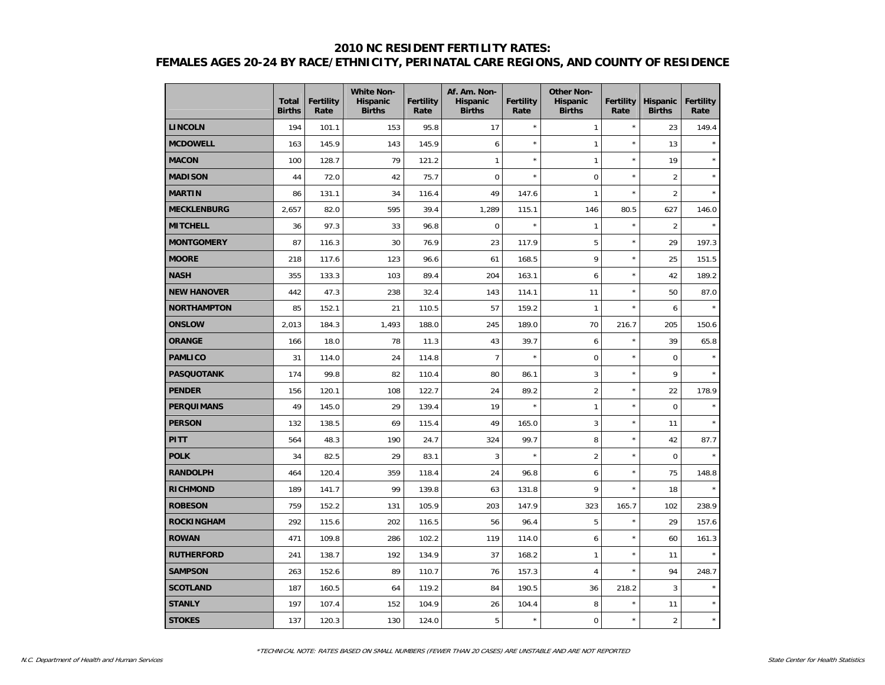## **2010 NC RESIDENT FERTILITY RATES: FEMALES AGES 20-24 BY RACE/ETHNICITY, PERINATAL CARE REGIONS, AND COUNTY OF RESIDENCE**

|                    | <b>Total</b><br><b>Births</b> | <b>Fertility</b><br>Rate | <b>White Non-</b><br>Hispanic<br><b>Births</b> | <b>Fertility</b><br>Rate | Af. Am. Non-<br><b>Hispanic</b><br><b>Births</b> | <b>Fertility</b><br>Rate | <b>Other Non-</b><br><b>Hispanic</b><br><b>Births</b> | Fertility<br>Rate | <b>Hispanic</b><br><b>Births</b> | <b>Fertility</b><br>Rate |
|--------------------|-------------------------------|--------------------------|------------------------------------------------|--------------------------|--------------------------------------------------|--------------------------|-------------------------------------------------------|-------------------|----------------------------------|--------------------------|
| <b>LINCOLN</b>     | 194                           | 101.1                    | 153                                            | 95.8                     | 17                                               | $\star$                  | $\mathbf{1}$                                          | $\star$           | 23                               | 149.4                    |
| <b>MCDOWELL</b>    | 163                           | 145.9                    | 143                                            | 145.9                    | 6                                                | $\star$                  | $\mathbf{1}$                                          | $\star$           | 13                               |                          |
| <b>MACON</b>       | 100                           | 128.7                    | 79                                             | 121.2                    | $\mathbf{1}$                                     | $\star$                  | $\mathbf{1}$                                          | $\star$           | 19                               |                          |
| <b>MADISON</b>     | 44                            | 72.0                     | 42                                             | 75.7                     | $\overline{0}$                                   | $\star$                  | $\mathbf 0$                                           | $\star$           | $\overline{2}$                   |                          |
| <b>MARTIN</b>      | 86                            | 131.1                    | 34                                             | 116.4                    | 49                                               | 147.6                    | $\mathbf{1}$                                          | $\star$           | $\overline{2}$                   |                          |
| <b>MECKLENBURG</b> | 2,657                         | 82.0                     | 595                                            | 39.4                     | 1,289                                            | 115.1                    | 146                                                   | 80.5              | 627                              | 146.0                    |
| <b>MITCHELL</b>    | 36                            | 97.3                     | 33                                             | 96.8                     | $\mathbf 0$                                      | $\star$                  | $\mathbf{1}$                                          | $\star$           | $\overline{2}$                   |                          |
| <b>MONTGOMERY</b>  | 87                            | 116.3                    | 30                                             | 76.9                     | 23                                               | 117.9                    | 5                                                     | $\star$           | 29                               | 197.3                    |
| <b>MOORE</b>       | 218                           | 117.6                    | 123                                            | 96.6                     | 61                                               | 168.5                    | 9                                                     | $\star$           | 25                               | 151.5                    |
| <b>NASH</b>        | 355                           | 133.3                    | 103                                            | 89.4                     | 204                                              | 163.1                    | 6                                                     | $\star$           | 42                               | 189.2                    |
| <b>NEW HANOVER</b> | 442                           | 47.3                     | 238                                            | 32.4                     | 143                                              | 114.1                    | 11                                                    | $\star$           | 50                               | 87.0                     |
| <b>NORTHAMPTON</b> | 85                            | 152.1                    | 21                                             | 110.5                    | 57                                               | 159.2                    | $\mathbf{1}$                                          | $\star$           | 6                                |                          |
| <b>ONSLOW</b>      | 2,013                         | 184.3                    | 1,493                                          | 188.0                    | 245                                              | 189.0                    | 70                                                    | 216.7             | 205                              | 150.6                    |
| <b>ORANGE</b>      | 166                           | 18.0                     | 78                                             | 11.3                     | 43                                               | 39.7                     | 6                                                     | $\star$           | 39                               | 65.8                     |
| <b>PAMLICO</b>     | 31                            | 114.0                    | 24                                             | 114.8                    | $\overline{7}$                                   | $\star$                  | $\mathbf 0$                                           | $\star$           | $\mathbf 0$                      |                          |
| <b>PASQUOTANK</b>  | 174                           | 99.8                     | 82                                             | 110.4                    | 80                                               | 86.1                     | 3                                                     | $\star$           | 9                                |                          |
| <b>PENDER</b>      | 156                           | 120.1                    | 108                                            | 122.7                    | 24                                               | 89.2                     | $\overline{2}$                                        | $\star$           | 22                               | 178.9                    |
| <b>PERQUIMANS</b>  | 49                            | 145.0                    | 29                                             | 139.4                    | 19                                               | $\star$                  | $\mathbf{1}$                                          | $\star$           | 0                                | $\star$                  |
| <b>PERSON</b>      | 132                           | 138.5                    | 69                                             | 115.4                    | 49                                               | 165.0                    | 3                                                     | $\star$           | 11                               | $\star$                  |
| <b>PITT</b>        | 564                           | 48.3                     | 190                                            | 24.7                     | 324                                              | 99.7                     | 8                                                     | $\star$           | 42                               | 87.7                     |
| <b>POLK</b>        | 34                            | 82.5                     | 29                                             | 83.1                     | 3                                                | $\star$                  | $\overline{2}$                                        | $\star$           | $\mathbf 0$                      |                          |
| <b>RANDOLPH</b>    | 464                           | 120.4                    | 359                                            | 118.4                    | 24                                               | 96.8                     | 6                                                     | $\star$           | 75                               | 148.8                    |
| <b>RICHMOND</b>    | 189                           | 141.7                    | 99                                             | 139.8                    | 63                                               | 131.8                    | 9                                                     | $\star$           | 18                               |                          |
| <b>ROBESON</b>     | 759                           | 152.2                    | 131                                            | 105.9                    | 203                                              | 147.9                    | 323                                                   | 165.7             | 102                              | 238.9                    |
| ROCKINGHAM         | 292                           | 115.6                    | 202                                            | 116.5                    | 56                                               | 96.4                     | 5                                                     | $\star$           | 29                               | 157.6                    |
| <b>ROWAN</b>       | 471                           | 109.8                    | 286                                            | 102.2                    | 119                                              | 114.0                    | 6                                                     | $\star$           | 60                               | 161.3                    |
| <b>RUTHERFORD</b>  | 241                           | 138.7                    | 192                                            | 134.9                    | 37                                               | 168.2                    | $\mathbf{1}$                                          | $\star$           | 11                               |                          |
| <b>SAMPSON</b>     | 263                           | 152.6                    | 89                                             | 110.7                    | 76                                               | 157.3                    | $\overline{4}$                                        | $\star$           | 94                               | 248.7                    |
| <b>SCOTLAND</b>    | 187                           | 160.5                    | 64                                             | 119.2                    | 84                                               | 190.5                    | 36                                                    | 218.2             | 3                                |                          |
| <b>STANLY</b>      | 197                           | 107.4                    | 152                                            | 104.9                    | 26                                               | 104.4                    | 8                                                     | $\star$           | 11                               | $\star$                  |
| <b>STOKES</b>      | 137                           | 120.3                    | 130                                            | 124.0                    | 5                                                | $\star$                  | $\pmb{0}$                                             | $\star$           | $\overline{2}$                   | $\star$                  |